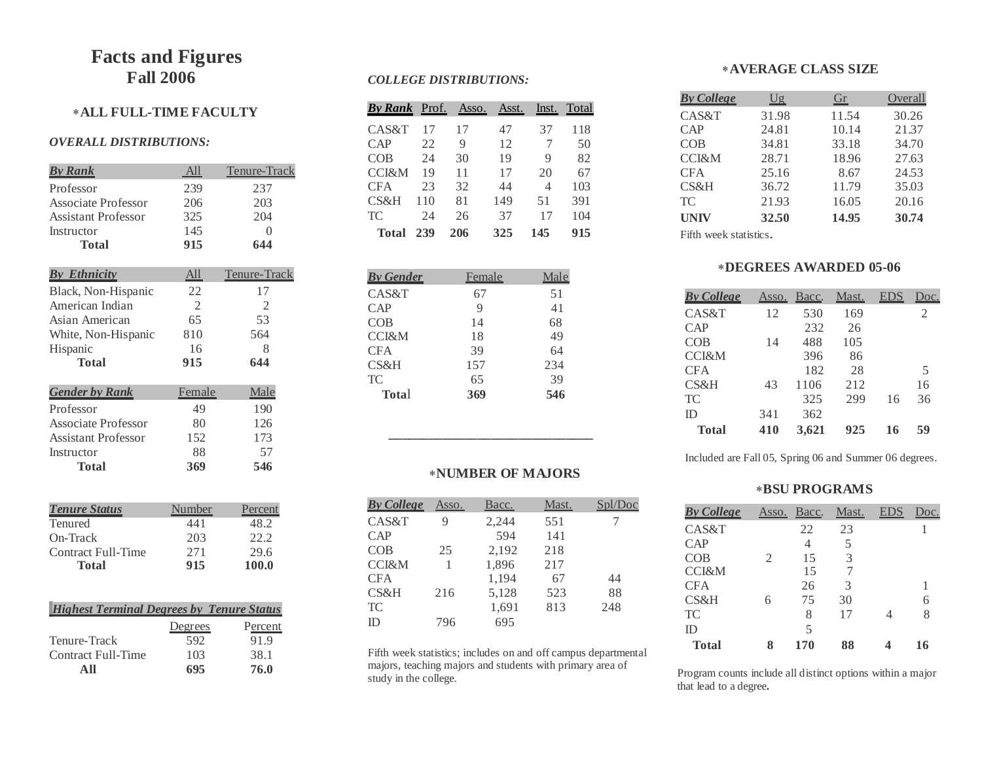# **Facts and Figures Fall 2006**

## **ALL FULL-TIME FACULTY**

#### *OVERALL DISTRIBUTIONS:*

| <u>By Rank</u>             | All            | Tenure-Track   |
|----------------------------|----------------|----------------|
| Professor                  | 239            | 237            |
| <b>Associate Professor</b> | 206            | 203            |
| <b>Assistant Professor</b> | 325            | 204            |
| Instructor                 | 145            | $\Omega$       |
| <b>Total</b>               | 915            | 644            |
| <b>By Ethnicity</b>        | <u>All</u>     | Tenure-Track   |
|                            | 22             | 17             |
| Black, Non-Hispanic        |                |                |
| American Indian            | $\mathfrak{D}$ | $\mathfrak{D}$ |
| Asian American             | 65             | 53             |
| White, Non-Hispanic        | 810            | 564            |
| Hispanic                   | 16             | 8              |
| <b>Total</b>               | 915            | 644            |
| <b>Gender by Rank</b>      | Female         | Male           |
| Professor                  | 49             | 190            |
| <b>Associate Professor</b> | 80             | 126            |
| Assistant Professor        | 152            | 173            |
| Instructor                 | 88             | 57             |
| Total                      | 369            | 546            |
|                            |                |                |

| <b>Tenure Status</b> | Number | Percent |
|----------------------|--------|---------|
| <b>Tenured</b>       | 441    | 48.2    |
| On-Track             | 203    | 22.2    |
| Contract Full-Time   | 271    | 29.6    |
| Total                | 915    | 100.0   |

| <b>Highest Terminal Degrees by Tenure Status</b> |         |         |
|--------------------------------------------------|---------|---------|
|                                                  | Degrees | Percent |
| Tenure-Track                                     | 592     | 91.9    |
| Contract Full-Time                               | 103     | 38.1    |
|                                                  | 695     | 76.0    |

#### *COLLEGE DISTRIBUTIONS:*

| <b>By Rank</b> Prof. |     | Asso. | Asst. | lnst. | Total |
|----------------------|-----|-------|-------|-------|-------|
| CAS&T                | 17  | 17    | 47    | 37    | 118   |
| CAP                  | 22  | 9     | 12    | 7     | 50    |
| COB                  | 24  | 30    | 19    | 9     | 82    |
| <b>CCI&amp;M</b>     | 19  | 11    | 17    | 20    | 67    |
| <b>CFA</b>           | 23  | 32    | 44    | 4     | 103   |
| CS&H                 | 110 | 81    | 149   | 51    | 391   |
| TC                   | 24  | 26    | 37    | 17    | 104   |
| Total                | 239 | 206   | 325   | 145   | 915   |

| <b>By Gender</b> | Female | Male |
|------------------|--------|------|
| CAS&T            | 67     | 51   |
| CAP              | 9      | 41   |
| COB              | 14     | 68   |
| <b>CCI&amp;M</b> | 18     | 49   |
| <b>CFA</b>       | 39     | 64   |
| CS&H             | 157    | 234  |
| <b>TC</b>        | 65     | 39   |
| <b>Total</b>     | 369    | 546  |

 **\_\_\_\_\_\_\_\_\_\_\_\_\_\_\_\_\_\_\_\_\_\_\_\_\_\_\_\_\_\_**

#### **NUMBER OF MAJORS**

| <b>By College</b> | Asso. | Bacc. | Mast. |     |
|-------------------|-------|-------|-------|-----|
| CAS&T             | 9     | 2,244 | 551   |     |
| CAP               |       | 594   | 141   |     |
| COB               | 25    | 2,192 | 218   |     |
| <b>CCI&amp;M</b>  |       | 1,896 | 217   |     |
| <b>CFA</b>        |       | 1,194 | 67    | 44  |
| CS&H              | 216   | 5,128 | 523   | 88  |
| <b>TC</b>         |       | 1,691 | 813   | 248 |
| ID                | 796   | 695   |       |     |
|                   |       |       |       |     |

Fifth week statistics; includes on and off campus departmental majors, teaching majors and students with primary area of study in the college.

## **AVERAGE CLASS SIZE**

| <b>By College</b> | $\overline{Ug}$ | Gr    | Overall |
|-------------------|-----------------|-------|---------|
| CAS&T             | 31.98           | 11.54 | 30.26   |
| CAP               | 24.81           | 10.14 | 21.37   |
| <b>COB</b>        | 34.81           | 33.18 | 34.70   |
| <b>CCI&amp;M</b>  | 28.71           | 18.96 | 27.63   |
| <b>CFA</b>        | 25.16           | 8.67  | 24.53   |
| CS&H              | 36.72           | 11.79 | 35.03   |
| <b>TC</b>         | 21.93           | 16.05 | 20.16   |
| <b>UNIV</b>       | 32.50           | 14.95 | 30.74   |

Fifth week statistics.

#### **DEGREES AWARDED 05-06**

| <b>By College</b> | Asso. | Bacc. | Mast. | EDS | Doc.                        |
|-------------------|-------|-------|-------|-----|-----------------------------|
| CAS&T             | 12    | 530   | 169   |     | $\mathcal{D}_{\mathcal{A}}$ |
| CAP               |       | 232   | 26    |     |                             |
| COB               | 14    | 488   | 105   |     |                             |
| <b>CCI&amp;M</b>  |       | 396   | 86    |     |                             |
| <b>CFA</b>        |       | 182   | 28    |     | 5                           |
| CS&H              | 43    | 1106  | 212   |     | 16                          |
| <b>TC</b>         |       | 325   | 299   | 16  | 36                          |
| ID                | 341   | 362   |       |     |                             |
| <b>Total</b>      | 410   | 3,621 | 925   | 16  | 59                          |

Included are Fall 05, Spring 06 and Summer 06 degrees.

### **BSU PROGRAMS**

| <b>By College</b> | Asso. | Bacc. | Mast. | EDS | loc. |
|-------------------|-------|-------|-------|-----|------|
| CAS&T             |       | 22    | 23    |     |      |
| CAP               |       | 4     | 5     |     |      |
| COB               | 2     | 15    | 3     |     |      |
| <b>CCI&amp;M</b>  |       | 15    |       |     |      |
| <b>CFA</b>        |       | 26    | 3     |     |      |
| CS&H              | 6     | 75    | 30    |     |      |
| TC                |       | 8     | 17    | Δ   |      |
| ID                |       | 5     |       |     |      |
| <b>Total</b>      | 8     | 170   | 88    |     | 16   |

Program counts include all distinct options within a major that lead to a degree**.**